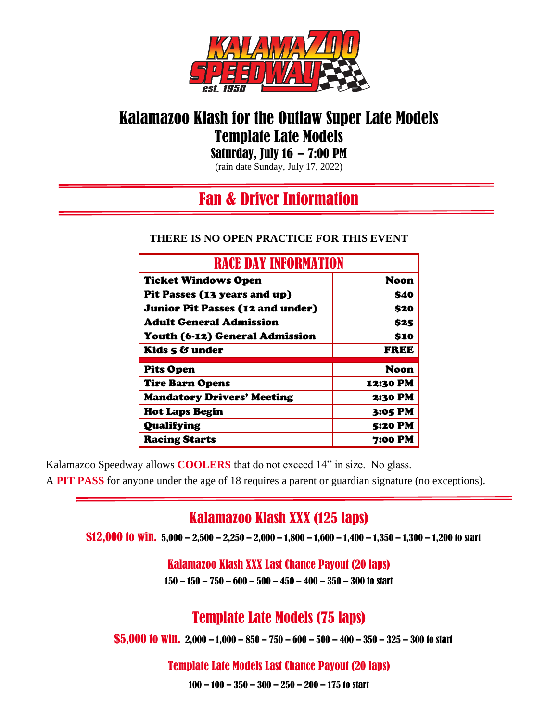

# Kalamazoo Klash for the Outlaw Super Late Models Template Late Models

Saturday, July  $16 - 7:00 \text{ PM}$ 

(rain date Sunday, July 17, 2022)

### l Fan & Driver Information

#### **THERE IS NO OPEN PRACTICE FOR THIS EVENT**

| <b>RACE DAY INFORMATION</b>             |                |
|-----------------------------------------|----------------|
| <b>Ticket Windows Open</b>              | <b>Noon</b>    |
| Pit Passes (13 years and up)            | \$40           |
| <b>Junior Pit Passes (12 and under)</b> | \$20           |
| <b>Adult General Admission</b>          | \$25           |
| Youth (6-12) General Admission          | \$10           |
| Kids 5 & under                          | <b>FREE</b>    |
| <b>Pits Open</b>                        | <b>Noon</b>    |
| <b>Tire Barn Opens</b>                  | 12:30 PM       |
| <b>Mandatory Drivers' Meeting</b>       | 2:30 PM        |
| <b>Hot Laps Begin</b>                   | 3:05 PM        |
| Qualifying                              | <b>5:20 PM</b> |
| <b>Racing Starts</b>                    | <b>7:00 PM</b> |

Kalamazoo Speedway allows **COOLERS** that do not exceed 14" in size. No glass.

A **PIT PASS** for anyone under the age of 18 requires a parent or guardian signature (no exceptions).

### Kalamazoo Klash XXX (125 laps)

\$12,000 to Win.  $5,000 - 2,500 - 2,250 - 2,000 - 1,800 - 1,600 - 1,400 - 1,350 - 1,300 - 1,200$  to start

Kalamazoo Klash XXX Last Chance Payout (20 laps)

150 – 150 – 750 – 600 – 500 – 450 – 400 – 350 – 300 to start

# Template Late Models (75 laps)

\$5,000 to win. 2,000 – 1,000 – 850 – 750 – 600 – 500 – 400 – 350 – 325 – 300 to start

#### Template Late Models Last Chance Payout (20 laps)

100 – 100 – 350 – 300 – 250 – 200 – 175 to start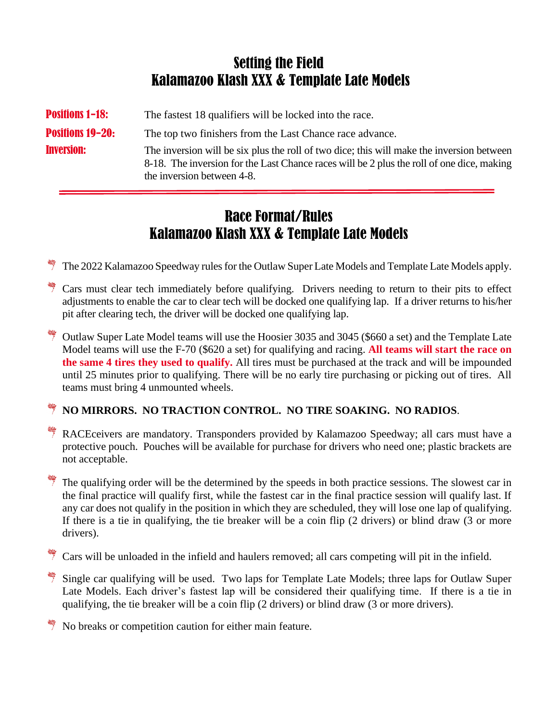## Setting the Field Kalamazoo Klash XXX & Template Late Models

**Positions 1-18:** The fastest 18 qualifiers will be locked into the race. **Positions 19-20:** The top two finishers from the Last Chance race advance. **Inversion:** The inversion will be six plus the roll of two dice; this will make the inversion between 8-18. The inversion for the Last Chance races will be 2 plus the roll of one dice, making the inversion between 4-8.

## Race Format/Rules Kalamazoo Klash XXX & Template Late Models

The 2022 Kalamazoo Speedway rules for the Outlaw Super Late Models and Template Late Models apply.

- <sup>\*\*\*</sup>\*\*\*\* Cars must clear tech immediately before qualifying. Drivers needing to return to their pits to effect adjustments to enable the car to clear tech will be docked one qualifying lap. If a driver returns to his/her pit after clearing tech, the driver will be docked one qualifying lap.
- $\frac{4}{3}$  Outlaw Super Late Model teams will use the Hoosier 3035 and 3045 (\$660 a set) and the Template Late Model teams will use the F-70 (\$620 a set) for qualifying and racing. **All teams will start the race on the same 4 tires they used to qualify.** All tires must be purchased at the track and will be impounded until 25 minutes prior to qualifying. There will be no early tire purchasing or picking out of tires. All teams must bring 4 unmounted wheels.

#### **NO MIRRORS. NO TRACTION CONTROL. NO TIRE SOAKING. NO RADIOS**.

<sup> $\dagger$ </sup> RACEceivers are mandatory. Transponders provided by Kalamazoo Speedway; all cars must have a protective pouch. Pouches will be available for purchase for drivers who need one; plastic brackets are not acceptable.

 $\frac{1}{2}$  The qualifying order will be the determined by the speeds in both practice sessions. The slowest car in the final practice will qualify first, while the fastest car in the final practice session will qualify last. If any car does not qualify in the position in which they are scheduled, they will lose one lap of qualifying. If there is a tie in qualifying, the tie breaker will be a coin flip (2 drivers) or blind draw (3 or more drivers).

Cars will be unloaded in the infield and haulers removed; all cars competing will pit in the infield.

Single car qualifying will be used. Two laps for Template Late Models; three laps for Outlaw Super Late Models. Each driver's fastest lap will be considered their qualifying time. If there is a tie in qualifying, the tie breaker will be a coin flip (2 drivers) or blind draw (3 or more drivers).

No breaks or competition caution for either main feature.